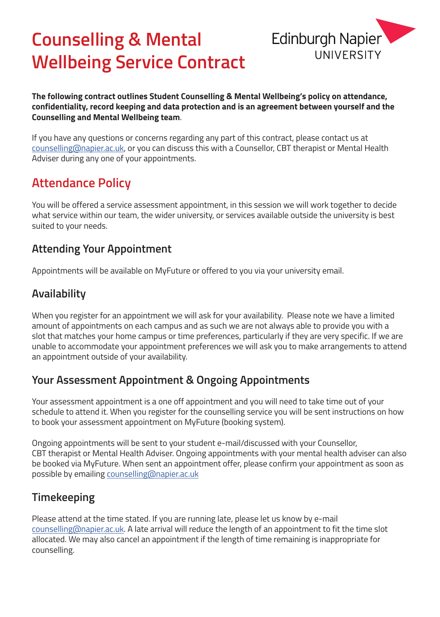# **Counselling & Mental Wellbeing Service Contract**



**The following contract outlines Student Counselling & Mental Wellbeing's policy on attendance, confidentiality, record keeping and data protection and is an agreement between yourself and the Counselling and Mental Wellbeing team**.

If you have any questions or concerns regarding any part of this contract, please contact us at counselling@napier.ac.uk, or you can discuss this with a Counsellor, CBT therapist or Mental Health Adviser during any one of your appointments.

## **Attendance Policy**

You will be offered a service assessment appointment, in this session we will work together to decide what service within our team, the wider university, or services available outside the university is best suited to your needs.

### **Attending Your Appointment**

Appointments will be available on MyFuture or offered to you via your university email.

## **Availability**

When you register for an appointment we will ask for your availability. Please note we have a limited amount of appointments on each campus and as such we are not always able to provide you with a slot that matches your home campus or time preferences, particularly if they are very specific. If we are unable to accommodate your appointment preferences we will ask you to make arrangements to attend an appointment outside of your availability.

## **Your Assessment Appointment & Ongoing Appointments**

Your assessment appointment is a one off appointment and you will need to take time out of your schedule to attend it. When you register for the counselling service you will be sent instructions on how to book your assessment appointment on MyFuture (booking system).

Ongoing appointments will be sent to your student e-mail/discussed with your Counsellor, CBT therapist or Mental Health Adviser. Ongoing appointments with your mental health adviser can also be booked via MyFuture. When sent an appointment offer, please confirm your appointment as soon as possible by emailing counselling@napier.ac.uk

## **Timekeeping**

Please attend at the time stated. If you are running late, please let us know by e-mail counselling@napier.ac.uk. A late arrival will reduce the length of an appointment to fit the time slot allocated. We may also cancel an appointment if the length of time remaining is inappropriate for counselling.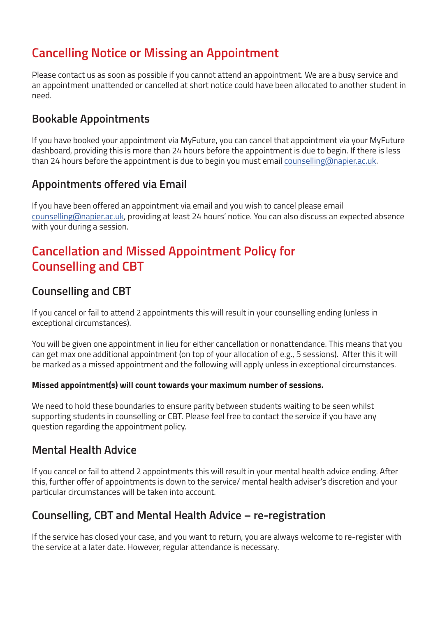## **Cancelling Notice or Missing an Appointment**

Please contact us as soon as possible if you cannot attend an appointment. We are a busy service and an appointment unattended or cancelled at short notice could have been allocated to another student in need.

#### **Bookable Appointments**

If you have booked your appointment via MyFuture, you can cancel that appointment via your MyFuture dashboard, providing this is more than 24 hours before the appointment is due to begin. If there is less than 24 hours before the appointment is due to begin you must email counselling@napier.ac.uk.

#### **Appointments offered via Email**

If you have been offered an appointment via email and you wish to cancel please email counselling@napier.ac.uk, providing at least 24 hours' notice. You can also discuss an expected absence with your during a session.

## **Cancellation and Missed Appointment Policy for Counselling and CBT**

#### **Counselling and CBT**

If you cancel or fail to attend 2 appointments this will result in your counselling ending (unless in exceptional circumstances).

You will be given one appointment in lieu for either cancellation or nonattendance. This means that you can get max one additional appointment (on top of your allocation of e.g., 5 sessions). After this it will be marked as a missed appointment and the following will apply unless in exceptional circumstances.

#### **Missed appointment(s) will count towards your maximum number of sessions.**

We need to hold these boundaries to ensure parity between students waiting to be seen whilst supporting students in counselling or CBT. Please feel free to contact the service if you have any question regarding the appointment policy.

#### **Mental Health Advice**

If you cancel or fail to attend 2 appointments this will result in your mental health advice ending. After this, further offer of appointments is down to the service/ mental health adviser's discretion and your particular circumstances will be taken into account.

#### **Counselling, CBT and Mental Health Advice – re-registration**

If the service has closed your case, and you want to return, you are always welcome to re-register with the service at a later date. However, regular attendance is necessary.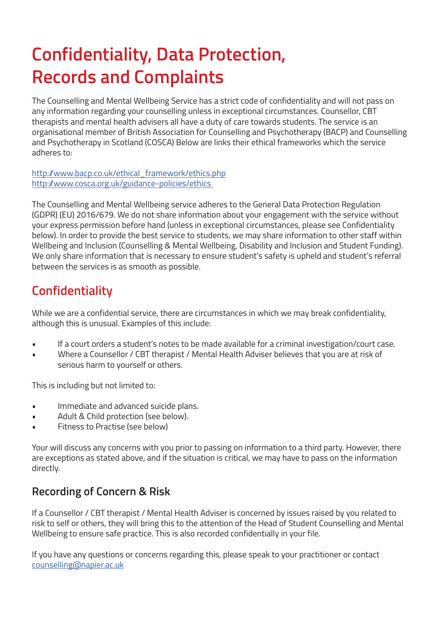# **Confidentiality, Data Protection, Records and Complaints**

The Counselling and Mental Wellbeing Service has a strict code of confidentiality and will not pass on any information regarding your counselling unless in exceptional circumstances. Counsellor, CBT therapists and mental health advisers all have a duty of care towards students. The service is an organisational member of British Association for Counselling and Psychotherapy (BACP) and Counselling and Psychotherapy in Scotland (COSCA) Below are links their ethical frameworks which the service adheres to:

http://www.bacp.co.uk/ethical framework/ethics.php http://www.cosca.org.uk/guidance-policies/ethics

The Counselling and Mental Wellbeing service adheres to the General Data Protection Regulation (GDPR) (EU) 2016/679. We do not share information about your engagement with the service without your express permission before hand (unless in exceptional circumstances, please see Confidentiality below). In order to provide the best service to students, we may share information to other staff within Wellbeing and Inclusion (Counselling & Mental Wellbeing, Disability and Inclusion and Student Funding). We only share information that is necessary to ensure student's safety is upheld and student's referral between the services is as smooth as possible.

## **Confidentiality**

While we are a confidential service, there are circumstances in which we may break confidentiality, although this is unusual. Examples of this include:

- If a court orders a student's notes to be made available for a criminal investigation/court case.
- Where a Counsellor / CBT therapist / Mental Health Adviser believes that you are at risk of serious harm to yourself or others.

This is including but not limited to:

- Immediate and advanced suicide plans.
- Adult & Child protection (see below).
- Fitness to Practise (see below)

Your will discuss any concerns with you prior to passing on information to a third party. However, there are exceptions as stated above, and if the situation is critical, we may have to pass on the information directly.

### **Recording of Concern & Risk**

If a Counsellor / CBT therapist / Mental Health Adviser is concerned by issues raised by you related to risk to self or others, they will bring this to the attention of the Head of Student Counselling and Mental Wellbeing to ensure safe practice. This is also recorded confidentially in your file.

If you have any questions or concerns regarding this, please speak to your practitioner or contact counselling@napier.ac.uk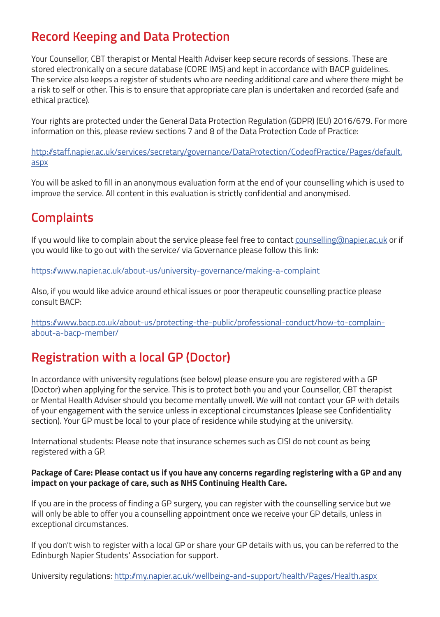## **Record Keeping and Data Protection**

Your Counsellor, CBT therapist or Mental Health Adviser keep secure records of sessions. These are stored electronically on a secure database (CORE IMS) and kept in accordance with BACP guidelines. The service also keeps a register of students who are needing additional care and where there might be a risk to self or other. This is to ensure that appropriate care plan is undertaken and recorded (safe and ethical practice).

Your rights are protected under the General Data Protection Regulation (GDPR) (EU) 2016/679. For more information on this, please review sections 7 and 8 of the Data Protection Code of Practice:

http://staff.napier.ac.uk/services/secretary/governance/DataProtection/CodeofPractice/Pages/default. aspx

You will be asked to fill in an anonymous evaluation form at the end of your counselling which is used to improve the service. All content in this evaluation is strictly confidential and anonymised.

## **Complaints**

If you would like to complain about the service please feel free to contact counselling@napier.ac.uk or if you would like to go out with the service/ via Governance please follow this link:

https://www.napier.ac.uk/about-us/university-governance/making-a-complaint

Also, if you would like advice around ethical issues or poor therapeutic counselling practice please consult BACP:

https://www.bacp.co.uk/about-us/protecting-the-public/professional-conduct/how-to-complainabout-a-bacp-member/

## **Registration with a local GP (Doctor)**

In accordance with university regulations (see below) please ensure you are registered with a GP (Doctor) when applying for the service. This is to protect both you and your Counsellor, CBT therapist or Mental Health Adviser should you become mentally unwell. We will not contact your GP with details of your engagement with the service unless in exceptional circumstances (please see Confidentiality section). Your GP must be local to your place of residence while studying at the university.

International students: Please note that insurance schemes such as CISI do not count as being registered with a GP.

#### **Package of Care: Please contact us if you have any concerns regarding registering with a GP and any impact on your package of care, such as NHS Continuing Health Care.**

If you are in the process of finding a GP surgery, you can register with the counselling service but we will only be able to offer you a counselling appointment once we receive your GP details, unless in exceptional circumstances.

If you don't wish to register with a local GP or share your GP details with us, you can be referred to the Edinburgh Napier Students' Association for support.

University regulations: http://my.napier.ac.uk/wellbeing-and-support/health/Pages/Health.aspx